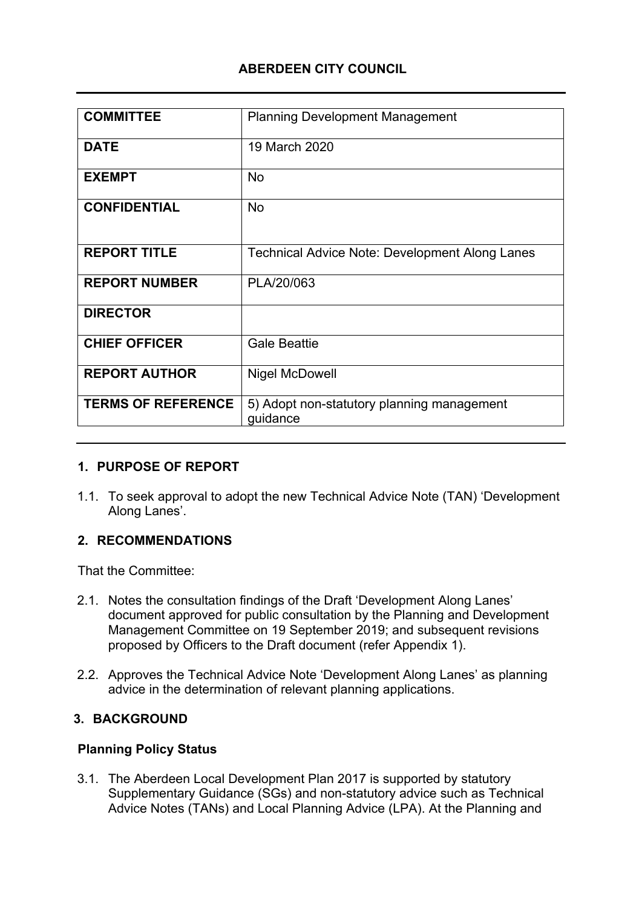### **ABERDEEN CITY COUNCIL**

| <b>COMMITTEE</b>          | <b>Planning Development Management</b>                 |
|---------------------------|--------------------------------------------------------|
| <b>DATE</b>               | 19 March 2020                                          |
| <b>EXEMPT</b>             | <b>No</b>                                              |
| <b>CONFIDENTIAL</b>       | <b>No</b>                                              |
| <b>REPORT TITLE</b>       | <b>Technical Advice Note: Development Along Lanes</b>  |
| <b>REPORT NUMBER</b>      | PLA/20/063                                             |
| <b>DIRECTOR</b>           |                                                        |
| <b>CHIEF OFFICER</b>      | <b>Gale Beattie</b>                                    |
| <b>REPORT AUTHOR</b>      | <b>Nigel McDowell</b>                                  |
| <b>TERMS OF REFERENCE</b> | 5) Adopt non-statutory planning management<br>guidance |

#### **1. PURPOSE OF REPORT**

1.1. To seek approval to adopt the new Technical Advice Note (TAN) 'Development Along Lanes'.

#### **2. RECOMMENDATIONS**

That the Committee:

- 2.1. Notes the consultation findings of the Draft 'Development Along Lanes' document approved for public consultation by the Planning and Development Management Committee on 19 September 2019; and subsequent revisions proposed by Officers to the Draft document (refer Appendix 1).
- 2.2. Approves the Technical Advice Note 'Development Along Lanes' as planning advice in the determination of relevant planning applications.

#### **3. BACKGROUND**

#### **Planning Policy Status**

3.1. The Aberdeen Local Development Plan 2017 is supported by statutory Supplementary Guidance (SGs) and non-statutory advice such as Technical Advice Notes (TANs) and Local Planning Advice (LPA). At the Planning and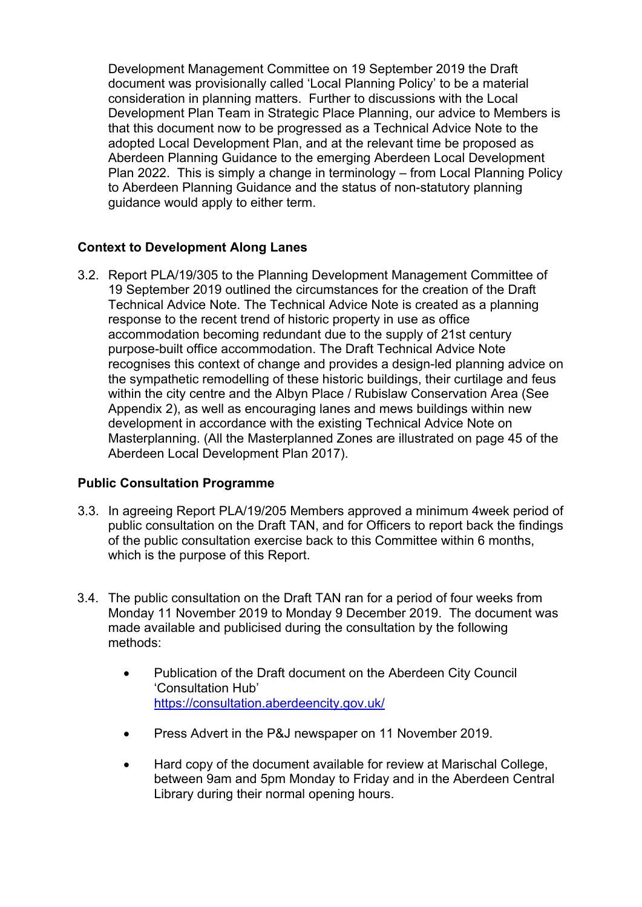Development Management Committee on 19 September 2019 the Draft document was provisionally called 'Local Planning Policy' to be a material consideration in planning matters. Further to discussions with the Local Development Plan Team in Strategic Place Planning, our advice to Members is that this document now to be progressed as a Technical Advice Note to the adopted Local Development Plan, and at the relevant time be proposed as Aberdeen Planning Guidance to the emerging Aberdeen Local Development Plan 2022. This is simply a change in terminology – from Local Planning Policy to Aberdeen Planning Guidance and the status of non-statutory planning guidance would apply to either term.

#### **Context to Development Along Lanes**

3.2. Report PLA/19/305 to the Planning Development Management Committee of 19 September 2019 outlined the circumstances for the creation of the Draft Technical Advice Note. The Technical Advice Note is created as a planning response to the recent trend of historic property in use as office accommodation becoming redundant due to the supply of 21st century purpose-built office accommodation. The Draft Technical Advice Note recognises this context of change and provides a design-led planning advice on the sympathetic remodelling of these historic buildings, their curtilage and feus within the city centre and the Albyn Place / Rubislaw Conservation Area (See Appendix 2), as well as encouraging lanes and mews buildings within new development in accordance with the existing Technical Advice Note on Masterplanning. (All the Masterplanned Zones are illustrated on page 45 of the Aberdeen Local Development Plan 2017).

#### **Public Consultation Programme**

- 3.3. In agreeing Report PLA/19/205 Members approved a minimum 4week period of public consultation on the Draft TAN, and for Officers to report back the findings of the public consultation exercise back to this Committee within 6 months, which is the purpose of this Report.
- 3.4. The public consultation on the Draft TAN ran for a period of four weeks from Monday 11 November 2019 to Monday 9 December 2019. The document was made available and publicised during the consultation by the following methods:
	- Publication of the Draft document on the Aberdeen City Council 'Consultation Hub' <https://consultation.aberdeencity.gov.uk/>
	- Press Advert in the P&J newspaper on 11 November 2019.
	- Hard copy of the document available for review at Marischal College, between 9am and 5pm Monday to Friday and in the Aberdeen Central Library during their normal opening hours.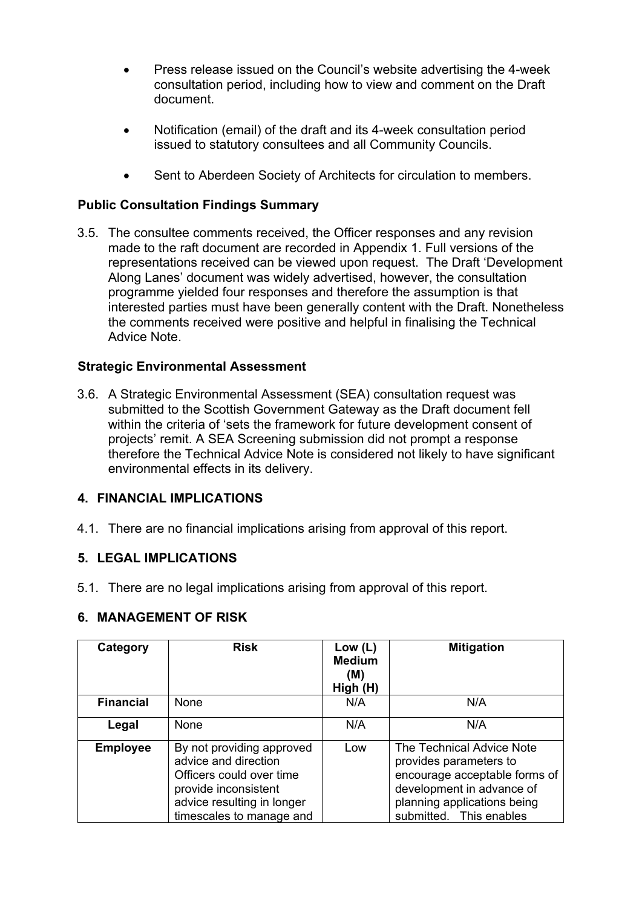- Press release issued on the Council's website advertising the 4-week consultation period, including how to view and comment on the Draft document.
- Notification (email) of the draft and its 4-week consultation period issued to statutory consultees and all Community Councils.
- Sent to Aberdeen Society of Architects for circulation to members.

### **Public Consultation Findings Summary**

3.5. The consultee comments received, the Officer responses and any revision made to the raft document are recorded in Appendix 1. Full versions of the representations received can be viewed upon request. The Draft 'Development Along Lanes' document was widely advertised, however, the consultation programme yielded four responses and therefore the assumption is that interested parties must have been generally content with the Draft. Nonetheless the comments received were positive and helpful in finalising the Technical Advice Note.

#### **Strategic Environmental Assessment**

3.6. A Strategic Environmental Assessment (SEA) consultation request was submitted to the Scottish Government Gateway as the Draft document fell within the criteria of 'sets the framework for future development consent of projects' remit. A SEA Screening submission did not prompt a response therefore the Technical Advice Note is considered not likely to have significant environmental effects in its delivery.

#### **4. FINANCIAL IMPLICATIONS**

4.1. There are no financial implications arising from approval of this report.

#### **5. LEGAL IMPLICATIONS**

5.1. There are no legal implications arising from approval of this report.

#### **6. MANAGEMENT OF RISK**

| Category         | <b>Risk</b>                                                                                                                                                     | Low $(L)$<br><b>Medium</b><br>(M)<br>High (H) | <b>Mitigation</b>                                                                                                                                                           |
|------------------|-----------------------------------------------------------------------------------------------------------------------------------------------------------------|-----------------------------------------------|-----------------------------------------------------------------------------------------------------------------------------------------------------------------------------|
| <b>Financial</b> | <b>None</b>                                                                                                                                                     | N/A                                           | N/A                                                                                                                                                                         |
| Legal            | None                                                                                                                                                            | N/A                                           | N/A                                                                                                                                                                         |
| <b>Employee</b>  | By not providing approved<br>advice and direction<br>Officers could over time<br>provide inconsistent<br>advice resulting in longer<br>timescales to manage and | Low                                           | The Technical Advice Note<br>provides parameters to<br>encourage acceptable forms of<br>development in advance of<br>planning applications being<br>submitted. This enables |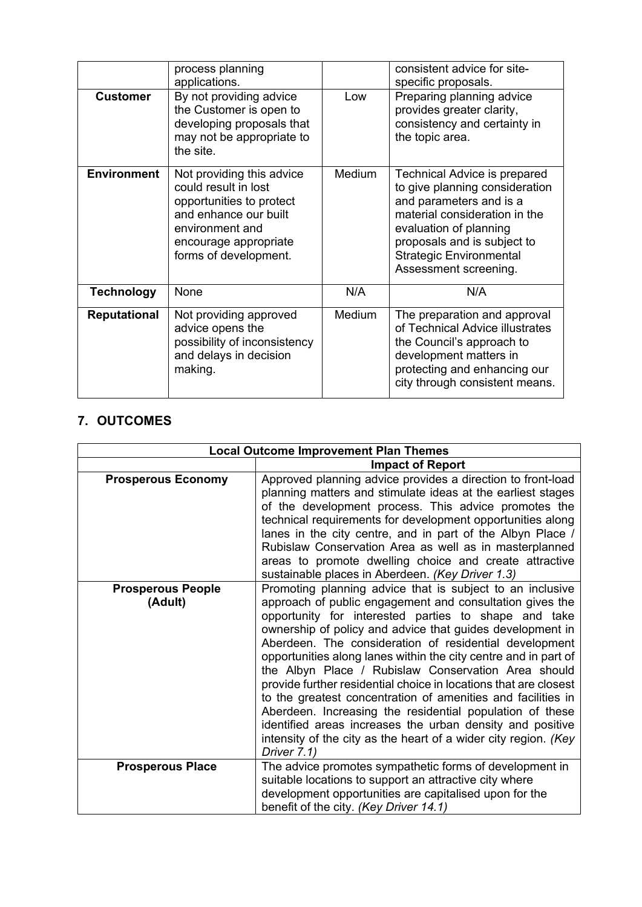|                     | process planning<br>applications.                                                                                                                                           |        | consistent advice for site-<br>specific proposals.                                                                                                                                                                                                    |
|---------------------|-----------------------------------------------------------------------------------------------------------------------------------------------------------------------------|--------|-------------------------------------------------------------------------------------------------------------------------------------------------------------------------------------------------------------------------------------------------------|
| <b>Customer</b>     | By not providing advice<br>the Customer is open to<br>developing proposals that<br>may not be appropriate to<br>the site.                                                   | Low    | Preparing planning advice<br>provides greater clarity,<br>consistency and certainty in<br>the topic area.                                                                                                                                             |
| <b>Environment</b>  | Not providing this advice<br>could result in lost<br>opportunities to protect<br>and enhance our built<br>environment and<br>encourage appropriate<br>forms of development. | Medium | <b>Technical Advice is prepared</b><br>to give planning consideration<br>and parameters and is a<br>material consideration in the<br>evaluation of planning<br>proposals and is subject to<br><b>Strategic Environmental</b><br>Assessment screening. |
| <b>Technology</b>   | None                                                                                                                                                                        | N/A    | N/A                                                                                                                                                                                                                                                   |
| <b>Reputational</b> | Not providing approved<br>advice opens the<br>possibility of inconsistency<br>and delays in decision<br>making.                                                             | Medium | The preparation and approval<br>of Technical Advice illustrates<br>the Council's approach to<br>development matters in<br>protecting and enhancing our<br>city through consistent means.                                                              |

# **7. OUTCOMES**

| <b>Local Outcome Improvement Plan Themes</b> |                                                                                                                                                                                                                                                                                                                                                                                                                                                                                                                                                                                                                                                                                                                                                                               |
|----------------------------------------------|-------------------------------------------------------------------------------------------------------------------------------------------------------------------------------------------------------------------------------------------------------------------------------------------------------------------------------------------------------------------------------------------------------------------------------------------------------------------------------------------------------------------------------------------------------------------------------------------------------------------------------------------------------------------------------------------------------------------------------------------------------------------------------|
|                                              | <b>Impact of Report</b>                                                                                                                                                                                                                                                                                                                                                                                                                                                                                                                                                                                                                                                                                                                                                       |
| <b>Prosperous Economy</b>                    | Approved planning advice provides a direction to front-load<br>planning matters and stimulate ideas at the earliest stages<br>of the development process. This advice promotes the<br>technical requirements for development opportunities along<br>lanes in the city centre, and in part of the Albyn Place /<br>Rubislaw Conservation Area as well as in masterplanned<br>areas to promote dwelling choice and create attractive<br>sustainable places in Aberdeen. (Key Driver 1.3)                                                                                                                                                                                                                                                                                        |
| <b>Prosperous People</b><br>(Adult)          | Promoting planning advice that is subject to an inclusive<br>approach of public engagement and consultation gives the<br>opportunity for interested parties to shape and take<br>ownership of policy and advice that guides development in<br>Aberdeen. The consideration of residential development<br>opportunities along lanes within the city centre and in part of<br>the Albyn Place / Rubislaw Conservation Area should<br>provide further residential choice in locations that are closest<br>to the greatest concentration of amenities and facilities in<br>Aberdeen. Increasing the residential population of these<br>identified areas increases the urban density and positive<br>intensity of the city as the heart of a wider city region. (Key<br>Driver 7.1) |
| <b>Prosperous Place</b>                      | The advice promotes sympathetic forms of development in<br>suitable locations to support an attractive city where<br>development opportunities are capitalised upon for the<br>benefit of the city. (Key Driver 14.1)                                                                                                                                                                                                                                                                                                                                                                                                                                                                                                                                                         |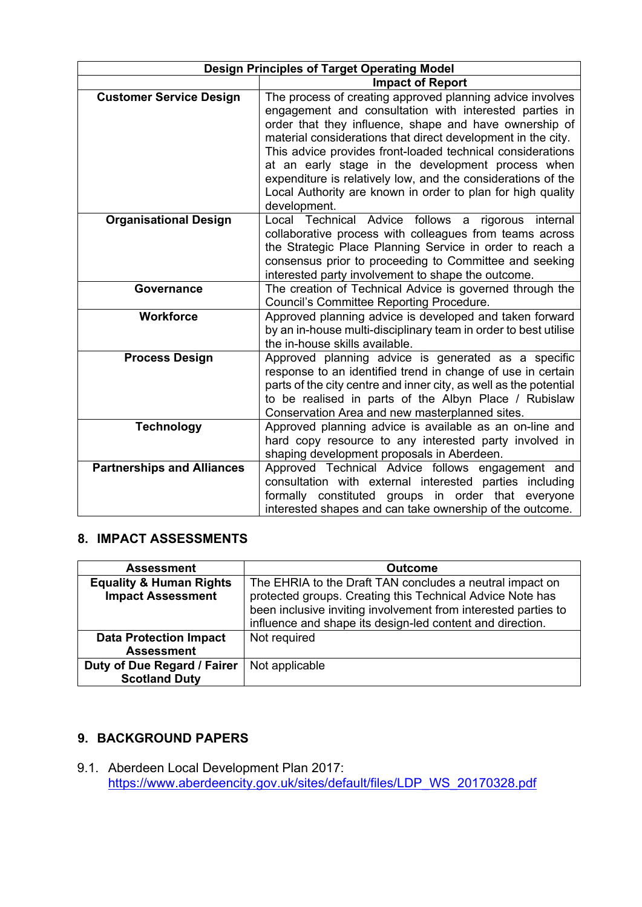| <b>Design Principles of Target Operating Model</b> |                                                                                                                                                                                                                                                                                                                                                                                                                                                                                                                 |  |
|----------------------------------------------------|-----------------------------------------------------------------------------------------------------------------------------------------------------------------------------------------------------------------------------------------------------------------------------------------------------------------------------------------------------------------------------------------------------------------------------------------------------------------------------------------------------------------|--|
|                                                    | <b>Impact of Report</b>                                                                                                                                                                                                                                                                                                                                                                                                                                                                                         |  |
| <b>Customer Service Design</b>                     | The process of creating approved planning advice involves<br>engagement and consultation with interested parties in<br>order that they influence, shape and have ownership of<br>material considerations that direct development in the city.<br>This advice provides front-loaded technical considerations<br>at an early stage in the development process when<br>expenditure is relatively low, and the considerations of the<br>Local Authority are known in order to plan for high quality<br>development. |  |
| <b>Organisational Design</b>                       | Local Technical Advice follows a<br>rigorous internal<br>collaborative process with colleagues from teams across<br>the Strategic Place Planning Service in order to reach a<br>consensus prior to proceeding to Committee and seeking<br>interested party involvement to shape the outcome.                                                                                                                                                                                                                    |  |
| <b>Governance</b>                                  | The creation of Technical Advice is governed through the<br>Council's Committee Reporting Procedure.                                                                                                                                                                                                                                                                                                                                                                                                            |  |
| <b>Workforce</b>                                   | Approved planning advice is developed and taken forward<br>by an in-house multi-disciplinary team in order to best utilise<br>the in-house skills available.                                                                                                                                                                                                                                                                                                                                                    |  |
| <b>Process Design</b>                              | Approved planning advice is generated as a specific<br>response to an identified trend in change of use in certain<br>parts of the city centre and inner city, as well as the potential<br>to be realised in parts of the Albyn Place / Rubislaw<br>Conservation Area and new masterplanned sites.                                                                                                                                                                                                              |  |
| <b>Technology</b>                                  | Approved planning advice is available as an on-line and<br>hard copy resource to any interested party involved in<br>shaping development proposals in Aberdeen.                                                                                                                                                                                                                                                                                                                                                 |  |
| <b>Partnerships and Alliances</b>                  | Approved Technical Advice follows engagement and<br>consultation with external interested parties including<br>formally constituted<br>in order that<br>groups<br>everyone<br>interested shapes and can take ownership of the outcome.                                                                                                                                                                                                                                                                          |  |

# **8. IMPACT ASSESSMENTS**

| <b>Assessment</b>                                              | <b>Outcome</b>                                                                                                                                                                                                                                       |
|----------------------------------------------------------------|------------------------------------------------------------------------------------------------------------------------------------------------------------------------------------------------------------------------------------------------------|
| <b>Equality &amp; Human Rights</b><br><b>Impact Assessment</b> | The EHRIA to the Draft TAN concludes a neutral impact on<br>protected groups. Creating this Technical Advice Note has<br>been inclusive inviting involvement from interested parties to<br>influence and shape its design-led content and direction. |
| <b>Data Protection Impact</b>                                  | Not required                                                                                                                                                                                                                                         |
| <b>Assessment</b>                                              |                                                                                                                                                                                                                                                      |
| Duty of Due Regard / Fairer                                    | Not applicable                                                                                                                                                                                                                                       |
| <b>Scotland Duty</b>                                           |                                                                                                                                                                                                                                                      |

## **9. BACKGROUND PAPERS**

9.1. Aberdeen Local Development Plan 2017: [https://www.aberdeencity.gov.uk/sites/default/files/LDP\\_WS\\_20170328.pdf](https://www.aberdeencity.gov.uk/sites/default/files/LDP_WS_20170328.pdf)